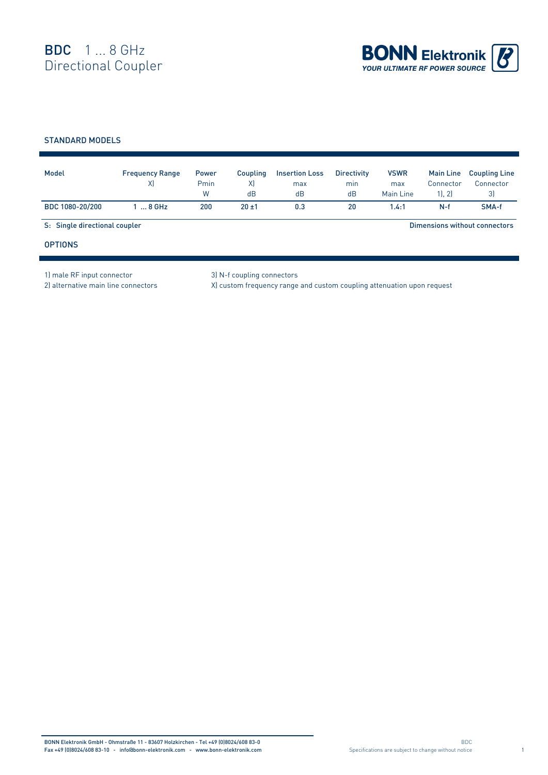

## STANDARD MODELS

| Model                         | <b>Frequency Range</b><br>X) | <b>Power</b><br>Pmin<br>W | Coupling<br>X)<br>dB | <b>Insertion Loss</b><br>max<br>dB | <b>Directivity</b><br>min<br>dB | <b>VSWR</b><br>max<br>Main Line | <b>Main Line</b><br>Connector<br>1, 2 | <b>Coupling Line</b><br>Connector<br>3) |  |
|-------------------------------|------------------------------|---------------------------|----------------------|------------------------------------|---------------------------------|---------------------------------|---------------------------------------|-----------------------------------------|--|
| BDC 1080-20/200               | $\ldots$ 8 GHz               | 200                       | $20 + 1$             | 0.3                                | 20                              | 1.4:1                           | $N-f$                                 | SMA-f                                   |  |
| S: Single directional coupler |                              |                           |                      |                                    |                                 | Dimensions without connectors   |                                       |                                         |  |
| <b>OPTIONS</b>                |                              |                           |                      |                                    |                                 |                                 |                                       |                                         |  |

1) male RF input connector 3) N-f coupling connectors

2) alternative main line connectors X) custom frequency range and custom coupling attenuation upon request